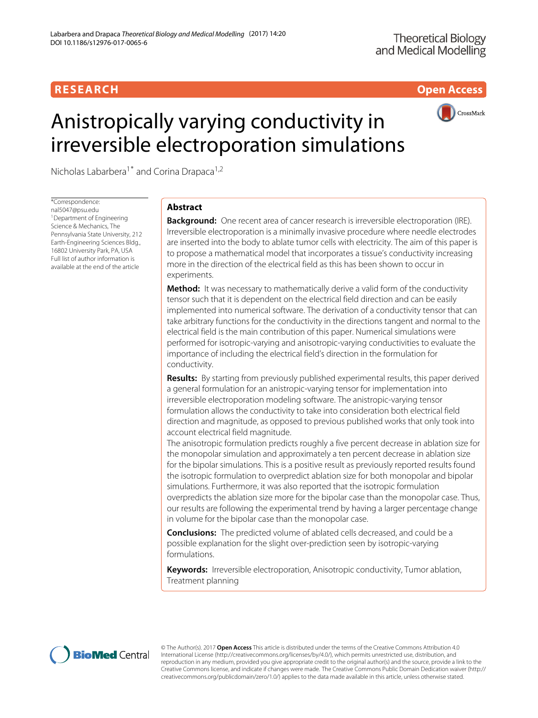# **RESEARCH Open Access**



# Anistropically varying conductivity in irreversible electroporation simulations

Nicholas Labarbera<sup>1\*</sup> and Corina Drapaca<sup>1,2</sup>

\*Correspondence: [nal5047@psu.edu](mailto: nal5047@psu.edu) 1Department of Engineering Science & Mechanics, The Pennsylvania State University, 212 Earth-Engineering Sciences Bldg., 16802 University Park, PA, USA Full list of author information is available at the end of the article

# **Abstract**

**Background:** One recent area of cancer research is irreversible electroporation (IRE). Irreversible electroporation is a minimally invasive procedure where needle electrodes are inserted into the body to ablate tumor cells with electricity. The aim of this paper is to propose a mathematical model that incorporates a tissue's conductivity increasing more in the direction of the electrical field as this has been shown to occur in experiments.

**Method:** It was necessary to mathematically derive a valid form of the conductivity tensor such that it is dependent on the electrical field direction and can be easily implemented into numerical software. The derivation of a conductivity tensor that can take arbitrary functions for the conductivity in the directions tangent and normal to the electrical field is the main contribution of this paper. Numerical simulations were performed for isotropic-varying and anisotropic-varying conductivities to evaluate the importance of including the electrical field's direction in the formulation for conductivity.

**Results:** By starting from previously published experimental results, this paper derived a general formulation for an anistropic-varying tensor for implementation into irreversible electroporation modeling software. The anistropic-varying tensor formulation allows the conductivity to take into consideration both electrical field direction and magnitude, as opposed to previous published works that only took into account electrical field magnitude.

The anisotropic formulation predicts roughly a five percent decrease in ablation size for the monopolar simulation and approximately a ten percent decrease in ablation size for the bipolar simulations. This is a positive result as previously reported results found the isotropic formulation to overpredict ablation size for both monopolar and bipolar simulations. Furthermore, it was also reported that the isotropic formulation overpredicts the ablation size more for the bipolar case than the monopolar case. Thus, our results are following the experimental trend by having a larger percentage change in volume for the bipolar case than the monopolar case.

**Conclusions:** The predicted volume of ablated cells decreased, and could be a possible explanation for the slight over-prediction seen by isotropic-varying formulations.

**Keywords:** Irreversible electroporation, Anisotropic conductivity, Tumor ablation, Treatment planning



© The Author(s). 2017 **Open Access** This article is distributed under the terms of the Creative Commons Attribution 4.0 International License [\(http://creativecommons.org/licenses/by/4.0/\)](http://creativecommons.org/licenses/by/4.0/), which permits unrestricted use, distribution, and reproduction in any medium, provided you give appropriate credit to the original author(s) and the source, provide a link to the Creative Commons license, and indicate if changes were made. The Creative Commons Public Domain Dedication waiver [\(http://](http://creativecommons.org/publicdomain/zero/1.0/) [creativecommons.org/publicdomain/zero/1.0/\)](http://creativecommons.org/publicdomain/zero/1.0/) applies to the data made available in this article, unless otherwise stated.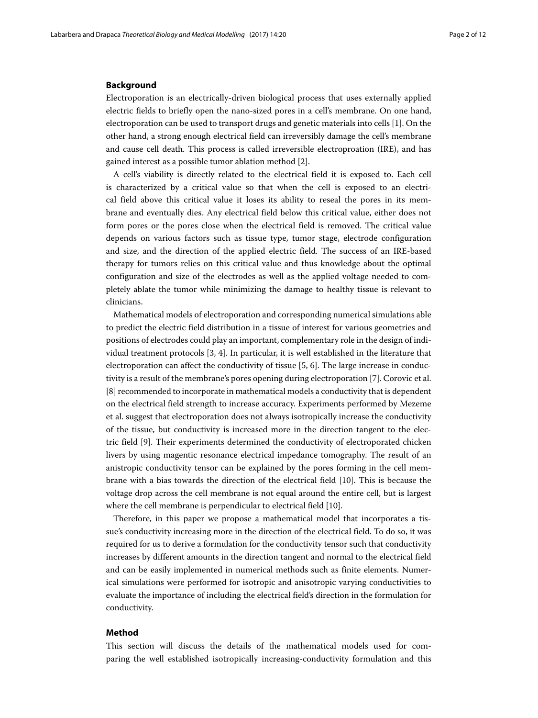# **Background**

Electroporation is an electrically-driven biological process that uses externally applied electric fields to briefly open the nano-sized pores in a cell's membrane. On one hand, electroporation can be used to transport drugs and genetic materials into cells [\[1\]](#page-11-0). On the other hand, a strong enough electrical field can irreversibly damage the cell's membrane and cause cell death. This process is called irreversible electroproation (IRE), and has gained interest as a possible tumor ablation method [\[2\]](#page-11-1).

A cell's viability is directly related to the electrical field it is exposed to. Each cell is characterized by a critical value so that when the cell is exposed to an electrical field above this critical value it loses its ability to reseal the pores in its membrane and eventually dies. Any electrical field below this critical value, either does not form pores or the pores close when the electrical field is removed. The critical value depends on various factors such as tissue type, tumor stage, electrode configuration and size, and the direction of the applied electric field. The success of an IRE-based therapy for tumors relies on this critical value and thus knowledge about the optimal configuration and size of the electrodes as well as the applied voltage needed to completely ablate the tumor while minimizing the damage to healthy tissue is relevant to clinicians.

Mathematical models of electroporation and corresponding numerical simulations able to predict the electric field distribution in a tissue of interest for various geometries and positions of electrodes could play an important, complementary role in the design of individual treatment protocols [\[3,](#page-11-2) [4\]](#page-11-3). In particular, it is well established in the literature that electroporation can affect the conductivity of tissue [\[5,](#page-11-4) [6\]](#page-11-5). The large increase in conductivity is a result of the membrane's pores opening during electroporation [\[7\]](#page-11-6). Corovic et al. [\[8\]](#page-11-7) recommended to incorporate in mathematical models a conductivity that is dependent on the electrical field strength to increase accuracy. Experiments performed by Mezeme et al. suggest that electroporation does not always isotropically increase the conductivity of the tissue, but conductivity is increased more in the direction tangent to the electric field [\[9\]](#page-11-8). Their experiments determined the conductivity of electroporated chicken livers by using magentic resonance electrical impedance tomography. The result of an anistropic conductivity tensor can be explained by the pores forming in the cell membrane with a bias towards the direction of the electrical field [\[10\]](#page-11-9). This is because the voltage drop across the cell membrane is not equal around the entire cell, but is largest where the cell membrane is perpendicular to electrical field [\[10\]](#page-11-9).

Therefore, in this paper we propose a mathematical model that incorporates a tissue's conductivity increasing more in the direction of the electrical field. To do so, it was required for us to derive a formulation for the conductivity tensor such that conductivity increases by different amounts in the direction tangent and normal to the electrical field and can be easily implemented in numerical methods such as finite elements. Numerical simulations were performed for isotropic and anisotropic varying conductivities to evaluate the importance of including the electrical field's direction in the formulation for conductivity.

# **Method**

This section will discuss the details of the mathematical models used for comparing the well established isotropically increasing-conductivity formulation and this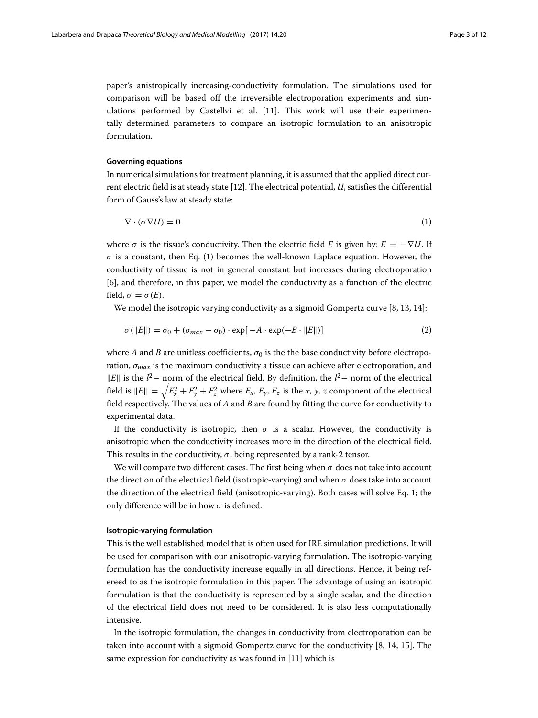paper's anistropically increasing-conductivity formulation. The simulations used for comparison will be based off the irreversible electroporation experiments and simulations performed by Castellvi et al. [\[11\]](#page-11-10). This work will use their experimentally determined parameters to compare an isotropic formulation to an anisotropic formulation.

# **Governing equations**

In numerical simulations for treatment planning, it is assumed that the applied direct current electric field is at steady state [\[12\]](#page-11-11). The electrical potential, *U*, satisfies the differential form of Gauss's law at steady state:

<span id="page-2-0"></span>
$$
\nabla \cdot (\sigma \nabla U) = 0 \tag{1}
$$

where  $\sigma$  is the tissue's conductivity. Then the electric field *E* is given by:  $E = -\nabla U$ . If  $\sigma$  is a constant, then Eq. [\(1\)](#page-2-0) becomes the well-known Laplace equation. However, the conductivity of tissue is not in general constant but increases during electroporation [\[6\]](#page-11-5), and therefore, in this paper, we model the conductivity as a function of the electric field,  $\sigma = \sigma(E)$ .

We model the isotropic varying conductivity as a sigmoid Gompertz curve [\[8,](#page-11-7) [13,](#page-11-12) [14\]](#page-11-13):

$$
\sigma(\|E\|) = \sigma_0 + (\sigma_{max} - \sigma_0) \cdot \exp[-A \cdot \exp(-B \cdot \|E\|)] \tag{2}
$$

where *A* and *B* are unitless coefficients,  $\sigma_0$  is the the base conductivity before electroporation, σ*max* is the maximum conductivity a tissue can achieve after electroporation, and *|E||* is the  $l^2$  − norm of the electrical field. By definition, the  $l^2$  − norm of the electrical field is  $\|E\| = \sqrt{E_x^2 + E_y^2 + E_z^2}$  where  $E_x$ ,  $E_y$ ,  $E_z$  is the *x*, *y*, *z* component of the electrical field respectively. The values of *A* and *B* are found by fitting the curve for conductivity to experimental data.

If the conductivity is isotropic, then  $\sigma$  is a scalar. However, the conductivity is anisotropic when the conductivity increases more in the direction of the electrical field. This results in the conductivity,  $\sigma$ , being represented by a rank-2 tensor.

We will compare two different cases. The first being when  $\sigma$  does not take into account the direction of the electrical field (isotropic-varying) and when  $\sigma$  does take into account the direction of the electrical field (anisotropic-varying). Both cases will solve Eq. [1;](#page-2-0) the only difference will be in how  $\sigma$  is defined.

# **Isotropic-varying formulation**

This is the well established model that is often used for IRE simulation predictions. It will be used for comparison with our anisotropic-varying formulation. The isotropic-varying formulation has the conductivity increase equally in all directions. Hence, it being refereed to as the isotropic formulation in this paper. The advantage of using an isotropic formulation is that the conductivity is represented by a single scalar, and the direction of the electrical field does not need to be considered. It is also less computationally intensive.

In the isotropic formulation, the changes in conductivity from electroporation can be taken into account with a sigmoid Gompertz curve for the conductivity [\[8,](#page-11-7) [14,](#page-11-13) [15\]](#page-11-14). The same expression for conductivity as was found in [\[11\]](#page-11-10) which is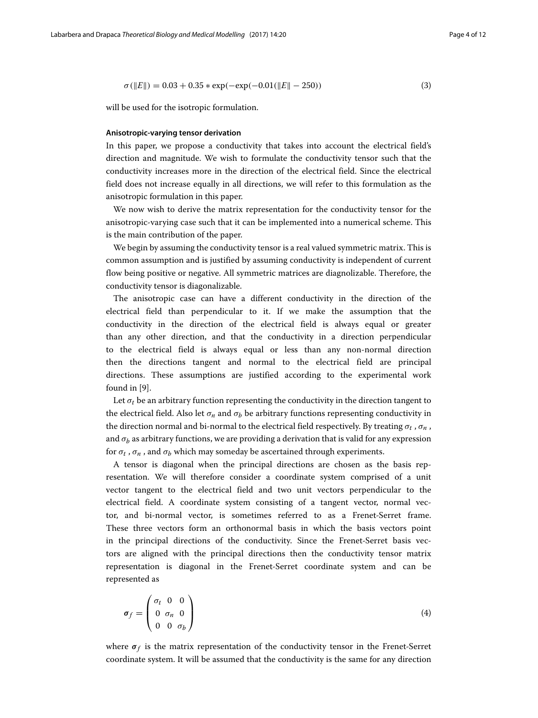$$
\sigma(\|E\|) = 0.03 + 0.35 * \exp(-\exp(-0.01(\|E\| - 250))
$$
\n(3)

will be used for the isotropic formulation.

# **Anisotropic-varying tensor derivation**

In this paper, we propose a conductivity that takes into account the electrical field's direction and magnitude. We wish to formulate the conductivity tensor such that the conductivity increases more in the direction of the electrical field. Since the electrical field does not increase equally in all directions, we will refer to this formulation as the anisotropic formulation in this paper.

We now wish to derive the matrix representation for the conductivity tensor for the anisotropic-varying case such that it can be implemented into a numerical scheme. This is the main contribution of the paper.

We begin by assuming the conductivity tensor is a real valued symmetric matrix. This is common assumption and is justified by assuming conductivity is independent of current flow being positive or negative. All symmetric matrices are diagnolizable. Therefore, the conductivity tensor is diagonalizable.

The anisotropic case can have a different conductivity in the direction of the electrical field than perpendicular to it. If we make the assumption that the conductivity in the direction of the electrical field is always equal or greater than any other direction, and that the conductivity in a direction perpendicular to the electrical field is always equal or less than any non-normal direction then the directions tangent and normal to the electrical field are principal directions. These assumptions are justified according to the experimental work found in [\[9\]](#page-11-8).

Let  $\sigma_t$  be an arbitrary function representing the conductivity in the direction tangent to the electrical field. Also let  $\sigma_n$  and  $\sigma_b$  be arbitrary functions representing conductivity in the direction normal and bi-normal to the electrical field respectively. By treating  $\sigma_t$ ,  $\sigma_n$ , and  $\sigma_b$  as arbitrary functions, we are providing a derivation that is valid for any expression for  $\sigma_t$ ,  $\sigma_n$ , and  $\sigma_b$  which may someday be ascertained through experiments.

A tensor is diagonal when the principal directions are chosen as the basis representation. We will therefore consider a coordinate system comprised of a unit vector tangent to the electrical field and two unit vectors perpendicular to the electrical field. A coordinate system consisting of a tangent vector, normal vector, and bi-normal vector, is sometimes referred to as a Frenet-Serret frame. These three vectors form an orthonormal basis in which the basis vectors point in the principal directions of the conductivity. Since the Frenet-Serret basis vectors are aligned with the principal directions then the conductivity tensor matrix representation is diagonal in the Frenet-Serret coordinate system and can be represented as

<span id="page-3-0"></span>
$$
\boldsymbol{\sigma}_f = \begin{pmatrix} \sigma_t & 0 & 0 \\ 0 & \sigma_n & 0 \\ 0 & 0 & \sigma_b \end{pmatrix} \tag{4}
$$

where  $\sigma_f$  is the matrix representation of the conductivity tensor in the Frenet-Serret coordinate system. It will be assumed that the conductivity is the same for any direction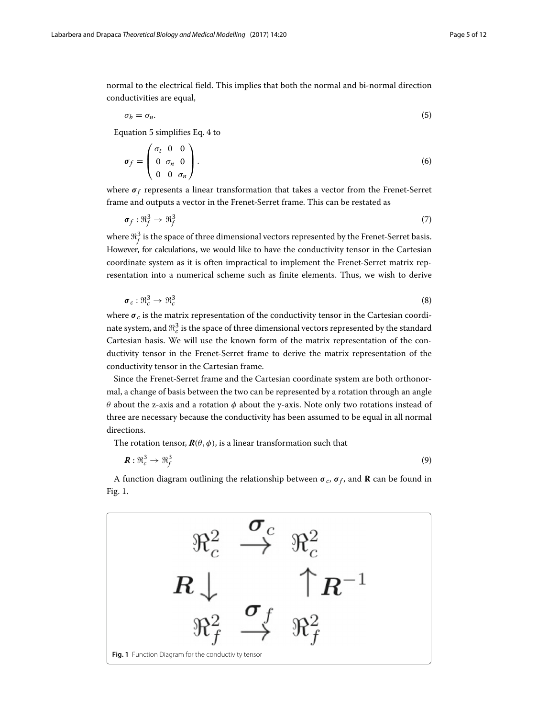normal to the electrical field. This implies that both the normal and bi-normal direction conductivities are equal,

<span id="page-4-0"></span>
$$
\sigma_b = \sigma_n. \tag{5}
$$

Equation [5](#page-4-0) simplifies Eq. [4](#page-3-0) to

$$
\boldsymbol{\sigma}_f = \begin{pmatrix} \sigma_t & 0 & 0 \\ 0 & \sigma_n & 0 \\ 0 & 0 & \sigma_n \end{pmatrix} . \tag{6}
$$

where  $\sigma_f$  represents a linear transformation that takes a vector from the Frenet-Serret frame and outputs a vector in the Frenet-Serret frame. This can be restated as

$$
\sigma_f: \mathfrak{R}_f^3 \to \mathfrak{R}_f^3 \tag{7}
$$

where  $\mathfrak{R}_f^3$  is the space of three dimensional vectors represented by the Frenet-Serret basis. However, for calculations, we would like to have the conductivity tensor in the Cartesian coordinate system as it is often impractical to implement the Frenet-Serret matrix representation into a numerical scheme such as finite elements. Thus, we wish to derive

$$
\boldsymbol{\sigma}_c: \mathfrak{R}_c^3 \to \mathfrak{R}_c^3 \tag{8}
$$

where  $\sigma_c$  is the matrix representation of the conductivity tensor in the Cartesian coordinate system, and  $\mathfrak{R}_c^3$  is the space of three dimensional vectors represented by the standard Cartesian basis. We will use the known form of the matrix representation of the conductivity tensor in the Frenet-Serret frame to derive the matrix representation of the conductivity tensor in the Cartesian frame.

Since the Frenet-Serret frame and the Cartesian coordinate system are both orthonormal, a change of basis between the two can be represented by a rotation through an angle  $\theta$  about the z-axis and a rotation  $\phi$  about the y-axis. Note only two rotations instead of three are necessary because the conductivity has been assumed to be equal in all normal directions.

The rotation tensor,  $\mathbf{R}(\theta, \phi)$ , is a linear transformation such that

$$
\boldsymbol{R} : \mathfrak{R}_c^3 \to \mathfrak{R}_f^3 \tag{9}
$$

A function diagram outlining the relationship between  $\sigma_c$ ,  $\sigma_f$ , and **R** can be found in Fig. [1.](#page-4-1)

<span id="page-4-1"></span>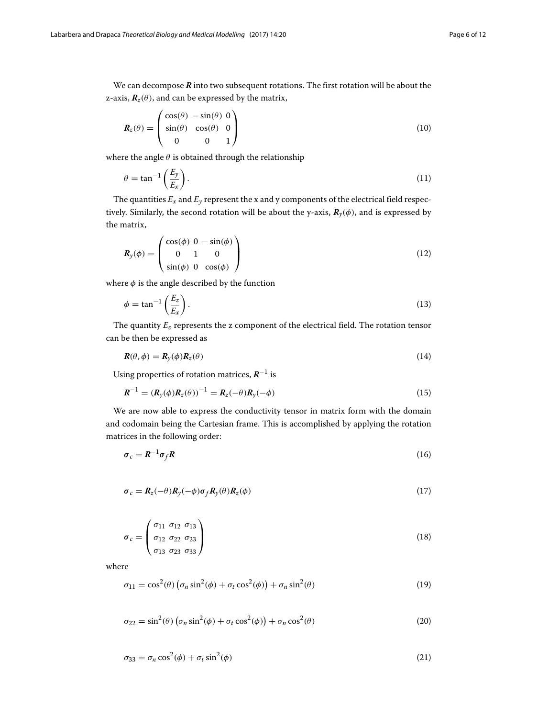We can decompose *R* into two subsequent rotations. The first rotation will be about the z-axis,  $\mathbf{R}_z(\theta)$ , and can be expressed by the matrix,

$$
\boldsymbol{R}_{z}(\theta) = \begin{pmatrix} \cos(\theta) & -\sin(\theta) & 0 \\ \sin(\theta) & \cos(\theta) & 0 \\ 0 & 0 & 1 \end{pmatrix}
$$
(10)

where the angle  $\theta$  is obtained through the relationship

$$
\theta = \tan^{-1}\left(\frac{E_y}{E_x}\right). \tag{11}
$$

The quantities  $E_x$  and  $E_y$  represent the x and y components of the electrical field respectively. Similarly, the second rotation will be about the y-axis,  $R_y(\phi)$ , and is expressed by the matrix,

$$
\mathbf{R}_{y}(\phi) = \begin{pmatrix} \cos(\phi) & 0 & -\sin(\phi) \\ 0 & 1 & 0 \\ \sin(\phi) & 0 & \cos(\phi) \end{pmatrix}
$$
(12)

where  $\phi$  is the angle described by the function

$$
\phi = \tan^{-1}\left(\frac{E_z}{E_x}\right). \tag{13}
$$

The quantity *Ez* represents the z component of the electrical field. The rotation tensor can be then be expressed as

$$
R(\theta, \phi) = R_{y}(\phi)R_{z}(\theta)
$$
\n(14)

Using properties of rotation matrices, *R*−<sup>1</sup> is

$$
R^{-1} = (R_y(\phi)R_z(\theta))^{-1} = R_z(-\theta)R_y(-\phi)
$$
\n(15)

We are now able to express the conductivity tensor in matrix form with the domain and codomain being the Cartesian frame. This is accomplished by applying the rotation matrices in the following order:

$$
\sigma_c = R^{-1} \sigma_f R \tag{16}
$$

$$
\sigma_c = R_z(-\theta)R_y(-\phi)\sigma_f R_y(\theta)R_z(\phi)
$$
\n(17)

$$
\boldsymbol{\sigma}_{c} = \begin{pmatrix} \sigma_{11} & \sigma_{12} & \sigma_{13} \\ \sigma_{12} & \sigma_{22} & \sigma_{23} \\ \sigma_{13} & \sigma_{23} & \sigma_{33} \end{pmatrix} \tag{18}
$$

where

$$
\sigma_{11} = \cos^2(\theta) \left( \sigma_n \sin^2(\phi) + \sigma_t \cos^2(\phi) \right) + \sigma_n \sin^2(\theta) \tag{19}
$$

$$
\sigma_{22} = \sin^2(\theta) \left( \sigma_n \sin^2(\phi) + \sigma_t \cos^2(\phi) \right) + \sigma_n \cos^2(\theta) \tag{20}
$$

$$
\sigma_{33} = \sigma_n \cos^2(\phi) + \sigma_t \sin^2(\phi) \tag{21}
$$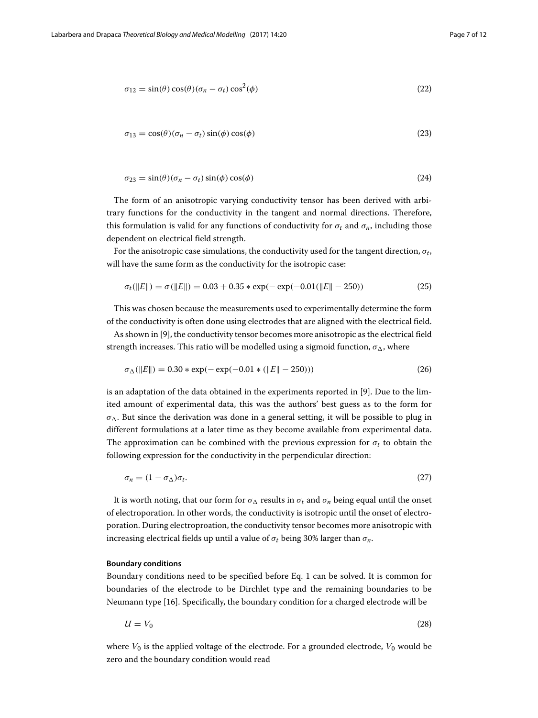$$
\sigma_{12} = \sin(\theta) \cos(\theta) (\sigma_n - \sigma_t) \cos^2(\phi)
$$
\n(22)

$$
\sigma_{13} = \cos(\theta)(\sigma_n - \sigma_t)\sin(\phi)\cos(\phi) \tag{23}
$$

$$
\sigma_{23} = \sin(\theta)(\sigma_n - \sigma_t)\sin(\phi)\cos(\phi) \tag{24}
$$

The form of an anisotropic varying conductivity tensor has been derived with arbitrary functions for the conductivity in the tangent and normal directions. Therefore, this formulation is valid for any functions of conductivity for  $\sigma_t$  and  $\sigma_n$ , including those dependent on electrical field strength.

For the anisotropic case simulations, the conductivity used for the tangent direction, σ*t*, will have the same form as the conductivity for the isotropic case:

 $\sigma_t(\|E\|) = \sigma(\|E\|) = 0.03 + 0.35 * \exp(-\exp(-0.01(\|E\| - 250)))$  (25)

This was chosen because the measurements used to experimentally determine the form of the conductivity is often done using electrodes that are aligned with the electrical field.

As shown in [\[9\]](#page-11-8), the conductivity tensor becomes more anisotropic as the electrical field strength increases. This ratio will be modelled using a sigmoid function,  $\sigma_{\Lambda}$ , where

$$
\sigma_{\Delta}(\|E\|) = 0.30 \times \exp(-\exp(-0.01 \times (\|E\| - 250)))
$$
\n(26)

is an adaptation of the data obtained in the experiments reported in [\[9\]](#page-11-8). Due to the limited amount of experimental data, this was the authors' best guess as to the form for  $\sigma_{\Delta}$ . But since the derivation was done in a general setting, it will be possible to plug in different formulations at a later time as they become available from experimental data. The approximation can be combined with the previous expression for  $\sigma_t$  to obtain the following expression for the conductivity in the perpendicular direction:

$$
\sigma_n = (1 - \sigma_\Delta)\sigma_t. \tag{27}
$$

It is worth noting, that our form for  $\sigma_{\Delta}$  results in  $\sigma_t$  and  $\sigma_n$  being equal until the onset of electroporation. In other words, the conductivity is isotropic until the onset of electroporation. During electroproation, the conductivity tensor becomes more anisotropic with increasing electrical fields up until a value of σ*<sup>t</sup>* being 30% larger than σ*n*.

# **Boundary conditions**

Boundary conditions need to be specified before Eq. [1](#page-2-0) can be solved. It is common for boundaries of the electrode to be Dirchlet type and the remaining boundaries to be Neumann type [\[16\]](#page-11-15). Specifically, the boundary condition for a charged electrode will be

$$
U = V_0 \tag{28}
$$

where  $V_0$  is the applied voltage of the electrode. For a grounded electrode,  $V_0$  would be zero and the boundary condition would read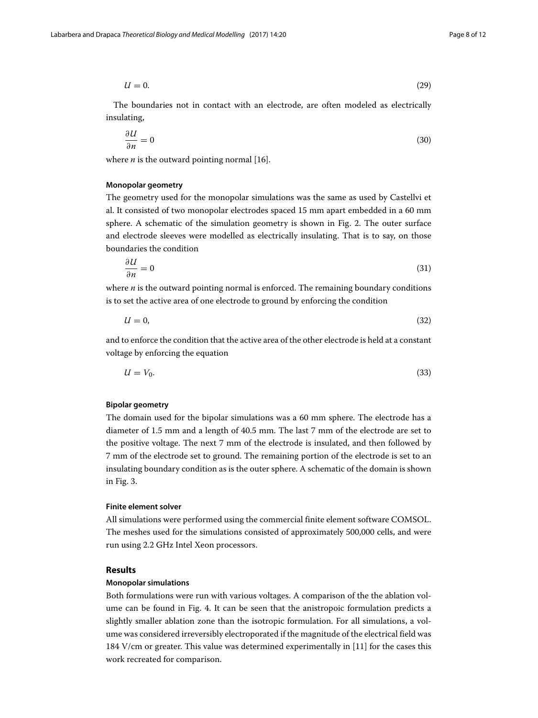$$
U = 0.\t(29)
$$

The boundaries not in contact with an electrode, are often modeled as electrically insulating,

$$
\frac{\partial U}{\partial n} = 0 \tag{30}
$$

where *n* is the outward pointing normal [\[16\]](#page-11-15).

# **Monopolar geometry**

The geometry used for the monopolar simulations was the same as used by Castellvi et al. It consisted of two monopolar electrodes spaced 15 mm apart embedded in a 60 mm sphere. A schematic of the simulation geometry is shown in Fig. [2.](#page-8-0) The outer surface and electrode sleeves were modelled as electrically insulating. That is to say, on those boundaries the condition

$$
\frac{\partial U}{\partial n} = 0 \tag{31}
$$

where *n* is the outward pointing normal is enforced. The remaining boundary conditions is to set the active area of one electrode to ground by enforcing the condition

$$
U = 0,\t\t(32)
$$

and to enforce the condition that the active area of the other electrode is held at a constant voltage by enforcing the equation

$$
U = V_0. \tag{33}
$$

# **Bipolar geometry**

The domain used for the bipolar simulations was a 60 mm sphere. The electrode has a diameter of 1.5 mm and a length of 40.5 mm. The last 7 mm of the electrode are set to the positive voltage. The next 7 mm of the electrode is insulated, and then followed by 7 mm of the electrode set to ground. The remaining portion of the electrode is set to an insulating boundary condition as is the outer sphere. A schematic of the domain is shown in Fig. [3.](#page-9-0)

# **Finite element solver**

All simulations were performed using the commercial finite element software COMSOL. The meshes used for the simulations consisted of approximately 500,000 cells, and were run using 2.2 GHz Intel Xeon processors.

# **Results**

# **Monopolar simulations**

Both formulations were run with various voltages. A comparison of the the ablation volume can be found in Fig. [4.](#page-10-0) It can be seen that the anistropoic formulation predicts a slightly smaller ablation zone than the isotropic formulation. For all simulations, a volume was considered irreversibly electroporated if the magnitude of the electrical field was 184 V/cm or greater. This value was determined experimentally in [\[11\]](#page-11-10) for the cases this work recreated for comparison.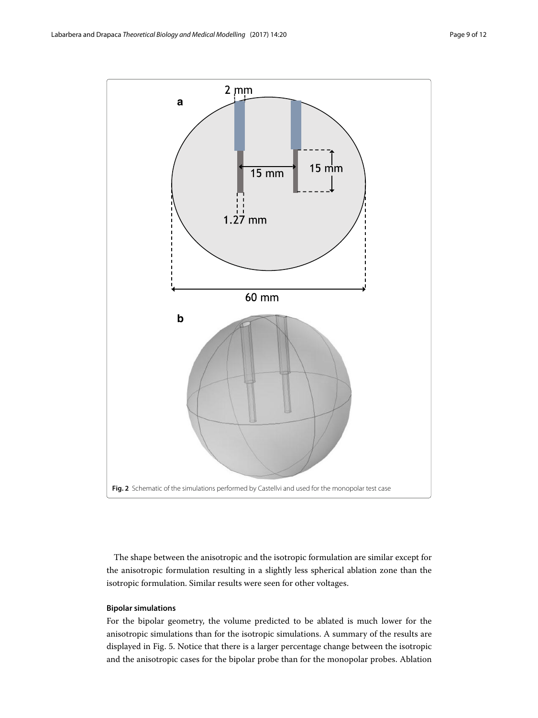

<span id="page-8-0"></span>The shape between the anisotropic and the isotropic formulation are similar except for the anisotropic formulation resulting in a slightly less spherical ablation zone than the isotropic formulation. Similar results were seen for other voltages.

# **Bipolar simulations**

For the bipolar geometry, the volume predicted to be ablated is much lower for the anisotropic simulations than for the isotropic simulations. A summary of the results are displayed in Fig. [5.](#page-10-1) Notice that there is a larger percentage change between the isotropic and the anisotropic cases for the bipolar probe than for the monopolar probes. Ablation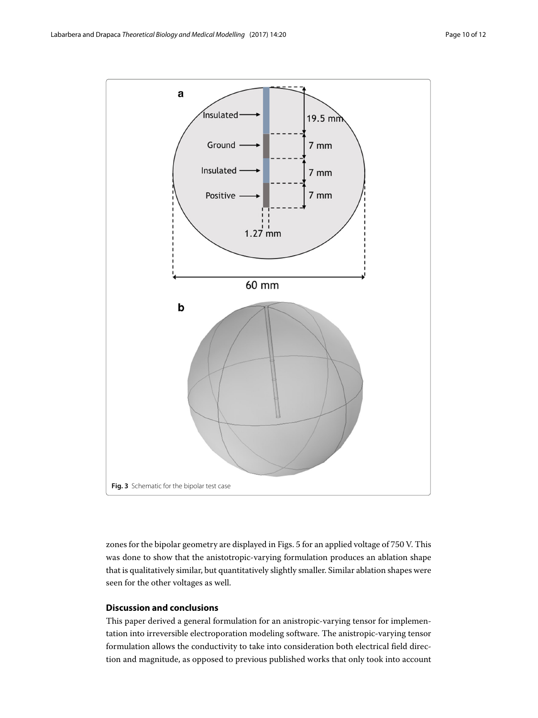

<span id="page-9-0"></span>zones for the bipolar geometry are displayed in Figs. [5](#page-10-1) for an applied voltage of 750 V. This was done to show that the anistotropic-varying formulation produces an ablation shape that is qualitatively similar, but quantitatively slightly smaller. Similar ablation shapes were seen for the other voltages as well.

# **Discussion and conclusions**

This paper derived a general formulation for an anistropic-varying tensor for implementation into irreversible electroporation modeling software. The anistropic-varying tensor formulation allows the conductivity to take into consideration both electrical field direction and magnitude, as opposed to previous published works that only took into account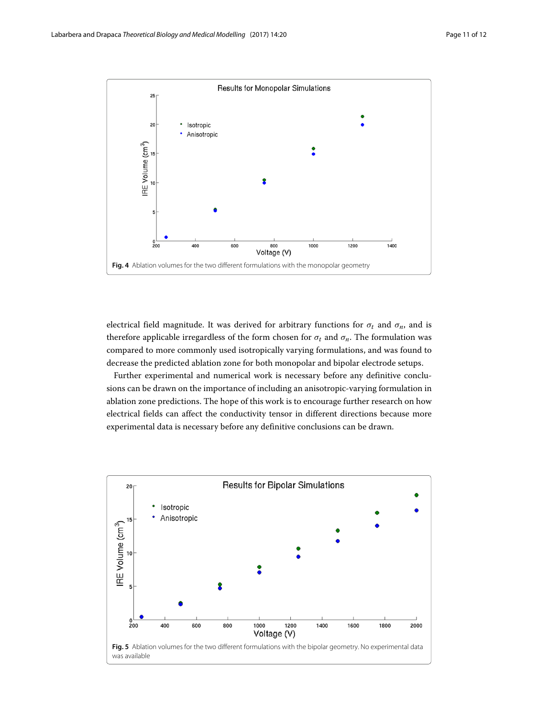

<span id="page-10-0"></span>electrical field magnitude. It was derived for arbitrary functions for  $\sigma_t$  and  $\sigma_n$ , and is therefore applicable irregardless of the form chosen for  $\sigma_t$  and  $\sigma_n$ . The formulation was compared to more commonly used isotropically varying formulations, and was found to decrease the predicted ablation zone for both monopolar and bipolar electrode setups.

Further experimental and numerical work is necessary before any definitive conclusions can be drawn on the importance of including an anisotropic-varying formulation in ablation zone predictions. The hope of this work is to encourage further research on how electrical fields can affect the conductivity tensor in different directions because more experimental data is necessary before any definitive conclusions can be drawn.

<span id="page-10-1"></span>